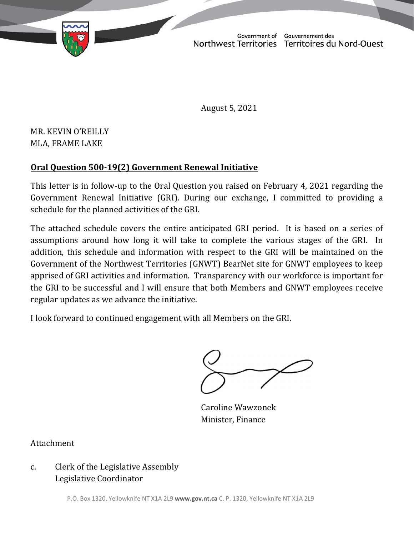TD 441-19(2) TABLED ON NOVEMBER 22, 2021

Northwest Territories Territoires du Nord-Ouest

August 5, 2021

MR. KEVIN O'REILLY MLA, FRAME LAKE

## **Oral Question 500‐19(2) Government Renewal Initiative**

This letter is in follow‐up to the Oral Question you raised on February 4, 2021 regarding the Government Renewal Initiative (GRI). During our exchange, I committed to providing a schedule for the planned activities of the GRI.

The attached schedule covers the entire anticipated GRI period. It is based on a series of assumptions around how long it will take to complete the various stages of the GRI. In addition, this schedule and information with respect to the GRI will be maintained on the Government of the Northwest Territories (GNWT) BearNet site for GNWT employees to keep apprised of GRI activities and information. Transparency with our workforce is important for the GRI to be successful and I will ensure that both Members and GNWT employees receive regular updates as we advance the initiative.

I look forward to continued engagement with all Members on the GRI.

Caroline Wawzonek Minister, Finance

Attachment

## c. Clerk of the Legislative Assembly Legislative Coordinator